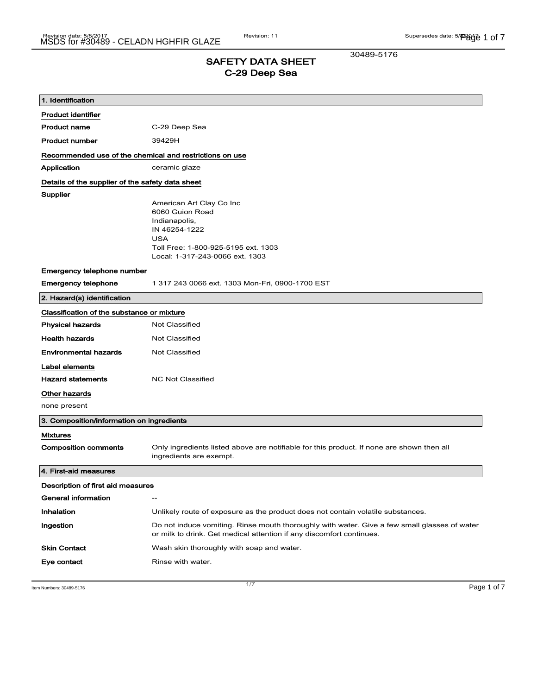30489-5176

## SAFETY DATA SHEET C-29 Deep Sea

| 1. Identification                                       |                                                                                                                                                                       |  |
|---------------------------------------------------------|-----------------------------------------------------------------------------------------------------------------------------------------------------------------------|--|
| <b>Product identifier</b>                               |                                                                                                                                                                       |  |
| Product name                                            | C-29 Deep Sea                                                                                                                                                         |  |
| <b>Product number</b>                                   | 39429H                                                                                                                                                                |  |
| Recommended use of the chemical and restrictions on use |                                                                                                                                                                       |  |
| Application                                             | ceramic glaze                                                                                                                                                         |  |
| Details of the supplier of the safety data sheet        |                                                                                                                                                                       |  |
| Supplier                                                | American Art Clay Co Inc<br>6060 Guion Road<br>Indianapolis,<br>IN 46254-1222<br><b>USA</b><br>Toll Free: 1-800-925-5195 ext. 1303<br>Local: 1-317-243-0066 ext. 1303 |  |
| Emergency telephone number                              |                                                                                                                                                                       |  |
| <b>Emergency telephone</b>                              | 1 317 243 0066 ext. 1303 Mon-Fri, 0900-1700 EST                                                                                                                       |  |
| 2. Hazard(s) identification                             |                                                                                                                                                                       |  |
| Classification of the substance or mixture              |                                                                                                                                                                       |  |
| <b>Physical hazards</b>                                 | <b>Not Classified</b>                                                                                                                                                 |  |
| <b>Health hazards</b>                                   | <b>Not Classified</b>                                                                                                                                                 |  |
| <b>Environmental hazards</b>                            | <b>Not Classified</b>                                                                                                                                                 |  |
| Label elements                                          |                                                                                                                                                                       |  |
| <b>Hazard statements</b>                                | <b>NC Not Classified</b>                                                                                                                                              |  |
| Other hazards                                           |                                                                                                                                                                       |  |
| none present                                            |                                                                                                                                                                       |  |
| 3. Composition/information on ingredients               |                                                                                                                                                                       |  |
| <b>Mixtures</b>                                         |                                                                                                                                                                       |  |
| <b>Composition comments</b>                             | Only ingredients listed above are notifiable for this product. If none are shown then all<br>ingredients are exempt.                                                  |  |
| 4. First-aid measures                                   |                                                                                                                                                                       |  |
| Description of first aid measures                       |                                                                                                                                                                       |  |
| General information                                     | $\overline{\phantom{a}}$                                                                                                                                              |  |
| <b>Inhalation</b>                                       | Unlikely route of exposure as the product does not contain volatile substances.                                                                                       |  |
| Ingestion                                               | Do not induce vomiting. Rinse mouth thoroughly with water. Give a few small glasses of water<br>or milk to drink. Get medical attention if any discomfort continues.  |  |
| <b>Skin Contact</b>                                     | Wash skin thoroughly with soap and water.                                                                                                                             |  |
| Eye contact                                             | Rinse with water.                                                                                                                                                     |  |

Item Numbers: 30489-5176 **Page 1 of 7**  $\frac{1}{7}$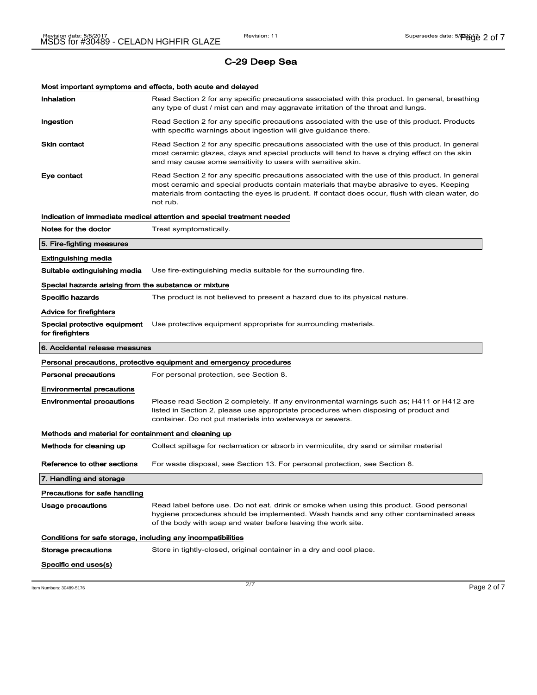Most important symptoms and effects, both acute and delayed

| Inhalation                                                   | Read Section 2 for any specific precautions associated with this product. In general, breathing<br>any type of dust / mist can and may aggravate irritation of the throat and lungs.                                                                                                                        |
|--------------------------------------------------------------|-------------------------------------------------------------------------------------------------------------------------------------------------------------------------------------------------------------------------------------------------------------------------------------------------------------|
| Ingestion                                                    | Read Section 2 for any specific precautions associated with the use of this product. Products<br>with specific warnings about ingestion will give guidance there.                                                                                                                                           |
| <b>Skin contact</b>                                          | Read Section 2 for any specific precautions associated with the use of this product. In general<br>most ceramic glazes, clays and special products will tend to have a drying effect on the skin<br>and may cause some sensitivity to users with sensitive skin.                                            |
| Eye contact                                                  | Read Section 2 for any specific precautions associated with the use of this product. In general<br>most ceramic and special products contain materials that maybe abrasive to eyes. Keeping<br>materials from contacting the eyes is prudent. If contact does occur, flush with clean water, do<br>not rub. |
|                                                              | Indication of immediate medical attention and special treatment needed                                                                                                                                                                                                                                      |
| Notes for the doctor                                         | Treat symptomatically.                                                                                                                                                                                                                                                                                      |
| 5. Fire-fighting measures                                    |                                                                                                                                                                                                                                                                                                             |
| <b>Extinguishing media</b>                                   |                                                                                                                                                                                                                                                                                                             |
| Suitable extinguishing media                                 | Use fire-extinguishing media suitable for the surrounding fire.                                                                                                                                                                                                                                             |
| Special hazards arising from the substance or mixture        |                                                                                                                                                                                                                                                                                                             |
| <b>Specific hazards</b>                                      | The product is not believed to present a hazard due to its physical nature.                                                                                                                                                                                                                                 |
| <b>Advice for firefighters</b>                               |                                                                                                                                                                                                                                                                                                             |
| Special protective equipment<br>for firefighters             | Use protective equipment appropriate for surrounding materials.                                                                                                                                                                                                                                             |
| 6. Accidental release measures                               |                                                                                                                                                                                                                                                                                                             |
|                                                              | Personal precautions, protective equipment and emergency procedures                                                                                                                                                                                                                                         |
| Personal precautions                                         | For personal protection, see Section 8.                                                                                                                                                                                                                                                                     |
| <b>Environmental precautions</b>                             |                                                                                                                                                                                                                                                                                                             |
|                                                              |                                                                                                                                                                                                                                                                                                             |
| <b>Environmental precautions</b>                             | Please read Section 2 completely. If any environmental warnings such as; H411 or H412 are<br>listed in Section 2, please use appropriate procedures when disposing of product and<br>container. Do not put materials into waterways or sewers.                                                              |
| Methods and material for containment and cleaning up         |                                                                                                                                                                                                                                                                                                             |
| Methods for cleaning up                                      | Collect spillage for reclamation or absorb in vermiculite, dry sand or similar material                                                                                                                                                                                                                     |
| Reference to other sections                                  | For waste disposal, see Section 13. For personal protection, see Section 8.                                                                                                                                                                                                                                 |
| 7. Handling and storage                                      |                                                                                                                                                                                                                                                                                                             |
| Precautions for safe handling                                |                                                                                                                                                                                                                                                                                                             |
| Usage precautions                                            | Read label before use. Do not eat, drink or smoke when using this product. Good personal<br>hygiene procedures should be implemented. Wash hands and any other contaminated areas<br>of the body with soap and water before leaving the work site.                                                          |
| Conditions for safe storage, including any incompatibilities |                                                                                                                                                                                                                                                                                                             |
| Storage precautions                                          | Store in tightly-closed, original container in a dry and cool place.                                                                                                                                                                                                                                        |

Item Numbers: 30489-5176 **Page 2 of 7**  $\frac{2}{7}$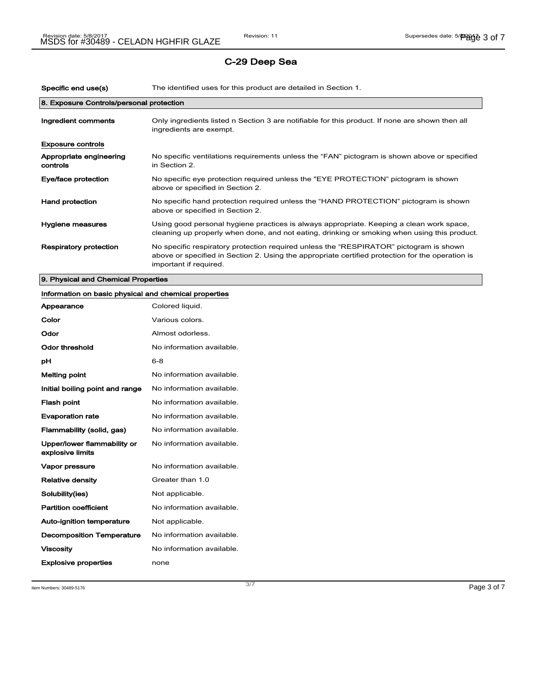| Specific end use(s)                      | The identified uses for this product are detailed in Section 1.                                                                                                                                                      |
|------------------------------------------|----------------------------------------------------------------------------------------------------------------------------------------------------------------------------------------------------------------------|
| 8. Exposure Controls/personal protection |                                                                                                                                                                                                                      |
| Ingredient comments                      | Only ingredients listed n Section 3 are notifiable for this product. If none are shown then all<br>ingredients are exempt.                                                                                           |
| <b>Exposure controls</b>                 |                                                                                                                                                                                                                      |
| Appropriate engineering<br>controls      | No specific ventilations requirements unless the "FAN" pictogram is shown above or specified<br>in Section 2.                                                                                                        |
| Eye/face protection                      | No specific eye protection required unless the "EYE PROTECTION" pictogram is shown<br>above or specified in Section 2.                                                                                               |
| <b>Hand protection</b>                   | No specific hand protection required unless the "HAND PROTECTION" pictogram is shown<br>above or specified in Section 2.                                                                                             |
| Hygiene measures                         | Using good personal hygiene practices is always appropriate. Keeping a clean work space,<br>cleaning up properly when done, and not eating, drinking or smoking when using this product.                             |
| <b>Respiratory protection</b>            | No specific respiratory protection required unless the "RESPIRATOR" pictogram is shown<br>above or specified in Section 2. Using the appropriate certified protection for the operation is<br>important if required. |

## 9. Physical and Chemical Properties

## Information on basic physical and chemical properties

| Appearance                                      | Colored liquid.           |
|-------------------------------------------------|---------------------------|
| Color                                           | Various colors.           |
| Odor                                            | Almost odorless.          |
| <b>Odor threshold</b>                           | No information available. |
| рH                                              | $6 - 8$                   |
| <b>Melting point</b>                            | No information available. |
| Initial boiling point and range                 | No information available. |
| Flash point                                     | No information available. |
| <b>Evaporation rate</b>                         | No information available. |
| Flammability (solid, gas)                       | No information available. |
| Upper/lower flammability or<br>explosive limits | No information available. |
| Vapor pressure                                  | No information available. |
| <b>Relative density</b>                         | Greater than 1.0          |
| Solubility(ies)                                 | Not applicable.           |
| <b>Partition coefficient</b>                    | No information available. |
| <b>Auto-ignition temperature</b>                | Not applicable.           |
| <b>Decomposition Temperature</b>                | No information available. |
| <b>Viscosity</b>                                | No information available. |
| <b>Explosive properties</b>                     | none                      |

Item Numbers:  $30489-5176$  Page 3 of  $7$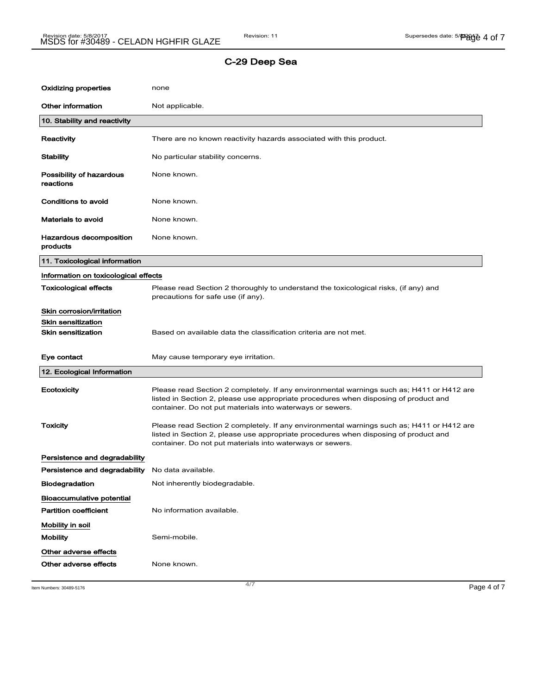| Oxidizing properties                                                                | none                                                                                                                                                                                                                                           |
|-------------------------------------------------------------------------------------|------------------------------------------------------------------------------------------------------------------------------------------------------------------------------------------------------------------------------------------------|
| <b>Other information</b>                                                            | Not applicable.                                                                                                                                                                                                                                |
| 10. Stability and reactivity                                                        |                                                                                                                                                                                                                                                |
| Reactivity                                                                          | There are no known reactivity hazards associated with this product.                                                                                                                                                                            |
| <b>Stability</b>                                                                    | No particular stability concerns.                                                                                                                                                                                                              |
| Possibility of hazardous<br>reactions                                               | None known.                                                                                                                                                                                                                                    |
| Conditions to avoid                                                                 | None known.                                                                                                                                                                                                                                    |
| Materials to avoid                                                                  | None known.                                                                                                                                                                                                                                    |
| Hazardous decomposition<br>products                                                 | None known.                                                                                                                                                                                                                                    |
| 11. Toxicological information                                                       |                                                                                                                                                                                                                                                |
| Information on toxicological effects                                                |                                                                                                                                                                                                                                                |
| <b>Toxicological effects</b>                                                        | Please read Section 2 thoroughly to understand the toxicological risks, (if any) and<br>precautions for safe use (if any).                                                                                                                     |
| Skin corrosion/irritation<br><b>Skin sensitization</b><br><b>Skin sensitization</b> | Based on available data the classification criteria are not met.                                                                                                                                                                               |
| Eye contact                                                                         | May cause temporary eye irritation.                                                                                                                                                                                                            |
| 12. Ecological Information                                                          |                                                                                                                                                                                                                                                |
| Ecotoxicity                                                                         | Please read Section 2 completely. If any environmental warnings such as; H411 or H412 are<br>listed in Section 2, please use appropriate procedures when disposing of product and<br>container. Do not put materials into waterways or sewers. |
| <b>Toxicity</b>                                                                     | Please read Section 2 completely. If any environmental warnings such as; H411 or H412 are<br>listed in Section 2, please use appropriate procedures when disposing of product and<br>container. Do not put materials into waterways or sewers. |
| Persistence and degradability                                                       |                                                                                                                                                                                                                                                |
| Persistence and degradability No data available.                                    |                                                                                                                                                                                                                                                |
| Biodegradation                                                                      | Not inherently biodegradable.                                                                                                                                                                                                                  |
| Bioaccumulative potential                                                           |                                                                                                                                                                                                                                                |
| <b>Partition coefficient</b>                                                        | No information available.                                                                                                                                                                                                                      |
| Mobility in soil<br><b>Mobility</b>                                                 | Semi-mobile.                                                                                                                                                                                                                                   |
| Other adverse effects                                                               |                                                                                                                                                                                                                                                |
| Other adverse effects                                                               | None known.                                                                                                                                                                                                                                    |

Item Numbers: 30489-5176 **Page 4 of 7**  $\frac{4}{7}$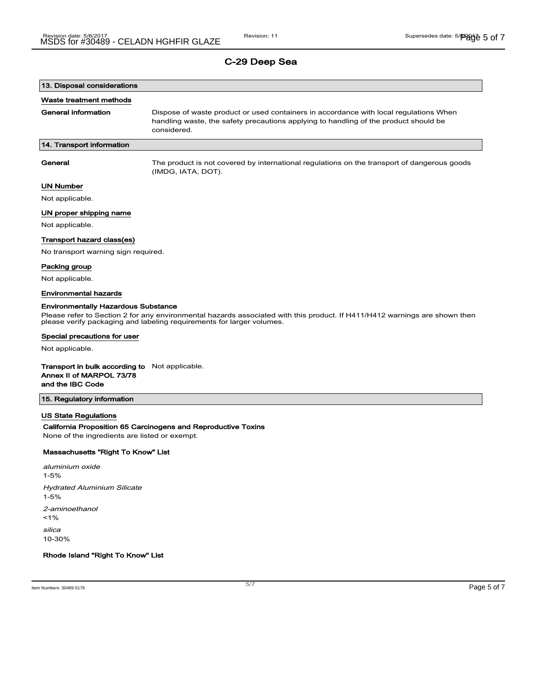# 13. Disposal considerations

#### Waste treatment methods

General information **Dispose of waste product or used containers in accordance with local regulations When** handling waste, the safety precautions applying to handling of the product should be considered.

#### 14. Transport information

General The product is not covered by international regulations on the transport of dangerous goods (IMDG, IATA, DOT).

#### UN Number

Not applicable.

#### UN proper shipping name

Not applicable.

#### Transport hazard class(es)

No transport warning sign required.

#### Packing group

Not applicable.

#### Environmental hazards

#### Environmentally Hazardous Substance

Please refer to Section 2 for any environmental hazards associated with this product. If H411/H412 warnings are shown then please verify packaging and labeling requirements for larger volumes.

#### Special precautions for user

Not applicable.

#### Transport in bulk according to Not applicable. Annex II of MARPOL 73/78

# and the IBC Code

#### 15. Regulatory information

#### US State Regulations

#### California Proposition 65 Carcinogens and Reproductive Toxins

None of the ingredients are listed or exempt.

#### Massachusetts "Right To Know" List

aluminium oxide 1-5% Hydrated Aluminium Silicate 1-5% 2-aminoethanol  $1%$ silica 10-30%

Rhode Island "Right To Know" List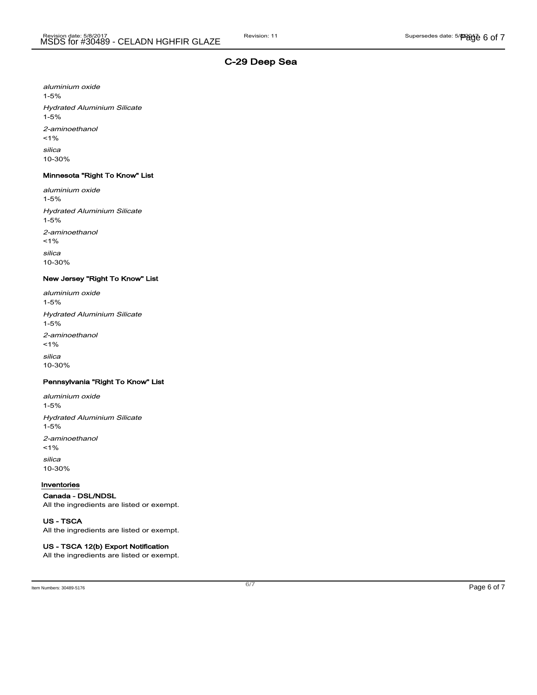aluminium oxide 1-5% Hydrated Aluminium Silicate 1-5% 2-aminoethanol  $1%$ silica 10-30%

#### Minnesota "Right To Know" List

aluminium oxide 1-5% Hydrated Aluminium Silicate 1-5% 2-aminoethanol  $1%$ silica 10-30%

#### New Jersey "Right To Know" List

aluminium oxide 1-5% Hydrated Aluminium Silicate 1-5% 2-aminoethanol  $1%$ silica 10-30%

### Pennsylvania "Right To Know" List

aluminium oxide 1-5% Hydrated Aluminium Silicate 1-5% 2-aminoethanol  $1%$ silica 10-30%

#### Inventories

#### Canada - DSL/NDSL

All the ingredients are listed or exempt.

#### US - TSCA

All the ingredients are listed or exempt.

#### US - TSCA 12(b) Export Notification

All the ingredients are listed or exempt.